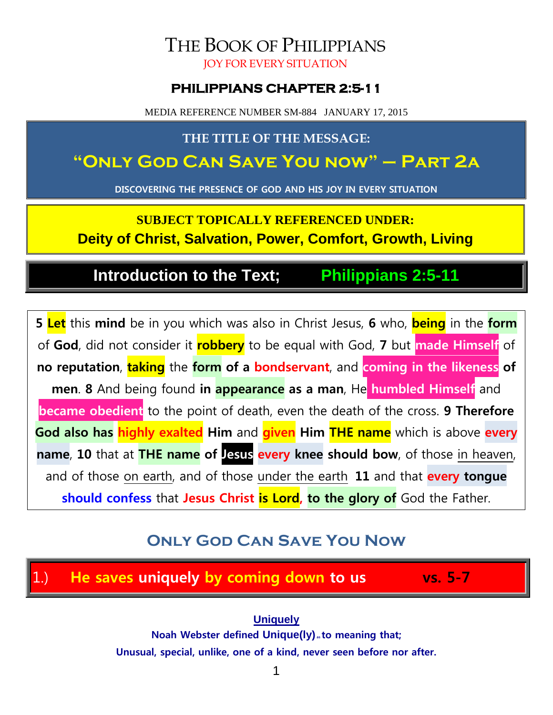## THE BOOK OF PHILIPPIANS JOY FOR EVERY SITUATION

## **PHILIPPIANS CHAPTER 2:5-11**

MEDIA REFERENCE NUMBER SM-884 JANUARY 17, 2015

## **THE TITLE OF THE MESSAGE:**

# **"Only God Can Save You now" – Part 2a**

**DISCOVERING THE PRESENCE OF GOD AND HIS JOY IN EVERY SITUATION**

**SUBJECT TOPICALLY REFERENCED UNDER: Deity of Christ, Salvation, Power, Comfort, Growth, Living**

# **Introduction to the Text; Philippians 2:5-11**

**5 Let** this **mind** be in you which was also in Christ Jesus, **6** who, **being** in the **form** of **God**, did not consider it **robbery** to be equal with God, **7** but **made Himself** of **no reputation**, **taking** the **form of a bondservant**, and **coming in the likeness of men**. **8** And being found **in appearance as a man**, He **humbled Himself** and **became obedient** to the point of death, even the death of the cross. **9 Therefore God also has highly exalted Him** and **given Him THE name** which is above **every name**, **10** that at **THE name of Jesus every knee should bow**, of those in heaven, and of those on earth, and of those under the earth, **11** and that **every tongue should confess** that **Jesus Christ is Lord, to the glory of** God the Father.

# **Only God Can Save You Now**

## 1.) **He saves uniquely by coming down to us vs. 5-7**

**Uniquely Noah Webster defined Unique(ly)** to meaning that; **Unusual, special, unlike, one of a kind, never seen before nor after.**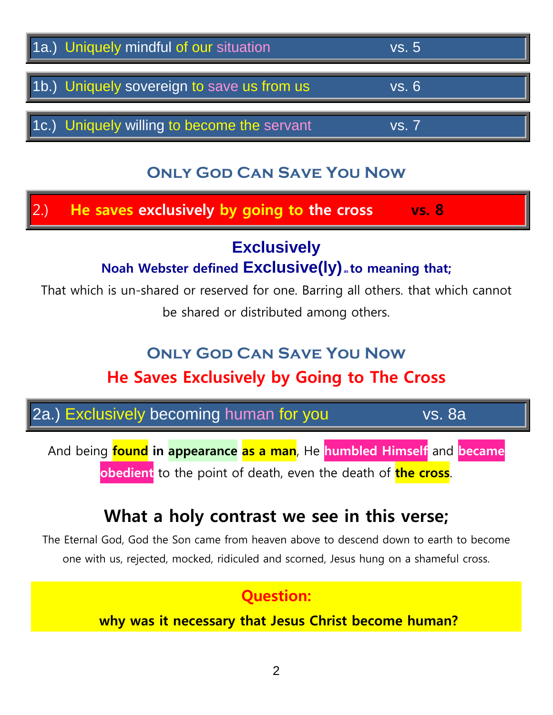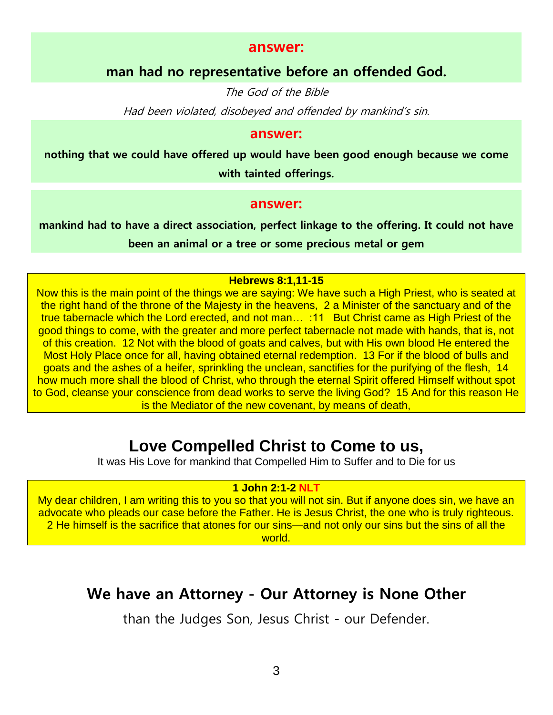#### **answer:**

### **man had no representative before an offended God.**

The God of the Bible

Had been violated, disobeyed and offended by mankind's sin.

#### **answer:**

**nothing that we could have offered up would have been good enough because we come with tainted offerings.**

#### **answer:**

**mankind had to have a direct association, perfect linkage to the offering. It could not have been an animal or a tree or some precious metal or gem**

#### **Hebrews 8:1,11-15**

Now this is the main point of the things we are saying: We have such a High Priest, who is seated at the right hand of the throne of the Majesty in the heavens, 2 a Minister of the sanctuary and of the true tabernacle which the Lord erected, and not man… :11 But Christ came as High Priest of the good things to come, with the greater and more perfect tabernacle not made with hands, that is, not of this creation. 12 Not with the blood of goats and calves, but with His own blood He entered the Most Holy Place once for all, having obtained eternal redemption. 13 For if the blood of bulls and goats and the ashes of a heifer, sprinkling the unclean, sanctifies for the purifying of the flesh, 14 how much more shall the blood of Christ, who through the eternal Spirit offered Himself without spot to God, cleanse your conscience from dead works to serve the living God? 15 And for this reason He is the Mediator of the new covenant, by means of death,

## **Love Compelled Christ to Come to us,**

It was His Love for mankind that Compelled Him to Suffer and to Die for us

#### **1 John 2:1-2 NLT**

My dear children, I am writing this to you so that you will not sin. But if anyone does sin, we have an advocate who pleads our case before the Father. He is Jesus Christ, the one who is truly righteous. 2 He himself is the sacrifice that atones for our sins—and not only our sins but the sins of all the world.

## **We have an Attorney - Our Attorney is None Other**

than the Judges Son, Jesus Christ - our Defender.